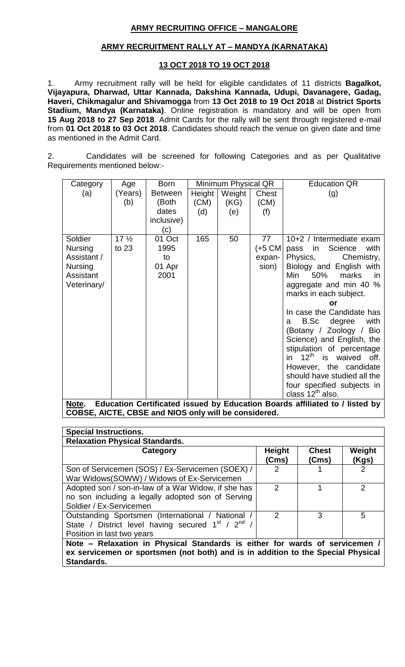# **ARMY RECRUITING OFFICE – MANGALORE**

## **ARMY RECRUITMENT RALLY AT – MANDYA (KARNATAKA)**

# **13 OCT 2018 TO 19 OCT 2018**

1. Army recruitment rally will be held for eligible candidates of 11 districts **Bagalkot, Vijayapura, Dharwad, Uttar Kannada, Dakshina Kannada, Udupi, Davanagere, Gadag, Haveri, Chikmagalur and Shivamogga** from **13 Oct 2018 to 19 Oct 2018** at **District Sports Stadium, Mandya (Karnataka).** Online registration is mandatory and will be open from **15 Aug 2018 to 27 Sep 2018**. Admit Cards for the rally will be sent through registered e-mail from **01 Oct 2018 to 03 Oct 2018**. Candidates should reach the venue on given date and time as mentioned in the Admit Card.

2. Candidates will be screened for following Categories and as per Qualitative Requirements mentioned below:-

| Category                                                                             | Age             | Born           | Minimum Physical QR |        |                   | <b>Education QR</b>              |
|--------------------------------------------------------------------------------------|-----------------|----------------|---------------------|--------|-------------------|----------------------------------|
| (a)                                                                                  | (Years)         | <b>Between</b> | Height              | Weight | Chest             | (g)                              |
|                                                                                      | (b)             | (Both          | (CM)                | (KG)   | (CM)              |                                  |
|                                                                                      |                 | dates          | (d)                 | (e)    | (f)               |                                  |
|                                                                                      |                 | inclusive)     |                     |        |                   |                                  |
|                                                                                      |                 | (c)            |                     |        |                   |                                  |
| Soldier                                                                              | 17 <sub>2</sub> | 01 Oct         | 165                 | 50     | 77                | 10+2 / Intermediate exam         |
| Nursing                                                                              | to $23$         | 1995           |                     |        | $(+5 \text{ CM})$ | Science<br>with<br>pass<br>in.   |
| Assistant /                                                                          |                 | to             |                     |        | expan-            | Physics,<br>Chemistry,           |
| Nursing                                                                              |                 | 01 Apr         |                     |        | sion)             | Biology and English with         |
| Assistant                                                                            |                 | 2001           |                     |        |                   | Min<br>50%<br>marks<br><i>in</i> |
| Veterinary/                                                                          |                 |                |                     |        |                   | aggregate and min 40 %           |
|                                                                                      |                 |                |                     |        |                   | marks in each subject.           |
|                                                                                      |                 |                |                     |        |                   | or                               |
|                                                                                      |                 |                |                     |        |                   | In case the Candidate has        |
|                                                                                      |                 |                |                     |        |                   | B.Sc<br>with<br>degree<br>a      |
|                                                                                      |                 |                |                     |        |                   | (Botany / Zoology / Bio          |
|                                                                                      |                 |                |                     |        |                   | Science) and English, the        |
|                                                                                      |                 |                |                     |        |                   | stipulation of percentage        |
|                                                                                      |                 |                |                     |        |                   | $12th$ is waived off.<br>in i    |
|                                                                                      |                 |                |                     |        |                   | However, the candidate           |
|                                                                                      |                 |                |                     |        |                   | should have studied all the      |
|                                                                                      |                 |                |                     |        |                   | four specified subjects in       |
|                                                                                      |                 |                |                     |        |                   | class 12 <sup>th</sup> also.     |
| Education Certificated issued by Education Boards affiliated to / listed by<br>Note. |                 |                |                     |        |                   |                                  |

**COBSE, AICTE, CBSE and NIOS only will be considered.**

| <b>Special Instructions.</b>                                                     |                        |                       |                 |  |
|----------------------------------------------------------------------------------|------------------------|-----------------------|-----------------|--|
| <b>Relaxation Physical Standards.</b>                                            |                        |                       |                 |  |
| Category                                                                         | <b>Height</b><br>(Cms) | <b>Chest</b><br>(Cms) | Weight<br>(Kgs) |  |
| Son of Servicemen (SOS) / Ex-Servicemen (SOEX) /                                 | $\mathcal{P}$          |                       | $\mathcal{P}$   |  |
| War Widows(SOWW) / Widows of Ex-Servicemen                                       |                        |                       |                 |  |
| Adopted son / son-in-law of a War Widow, if she has                              | $\mathcal{P}$          |                       | 2               |  |
| no son including a legally adopted son of Serving                                |                        |                       |                 |  |
| Soldier / Ex-Servicemen                                                          |                        |                       |                 |  |
| Outstanding Sportsmen (International / National /                                | $\mathcal{P}$          | 3                     | 5               |  |
| State / District level having secured $1^{st}$ / $2^{nd}$                        |                        |                       |                 |  |
| Position in last two years                                                       |                        |                       |                 |  |
| Note - Relaxation in Physical Standards is either for wards of servicemen /      |                        |                       |                 |  |
| ex servicemen or sportsmen (not both) and is in addition to the Special Physical |                        |                       |                 |  |
| Standards.                                                                       |                        |                       |                 |  |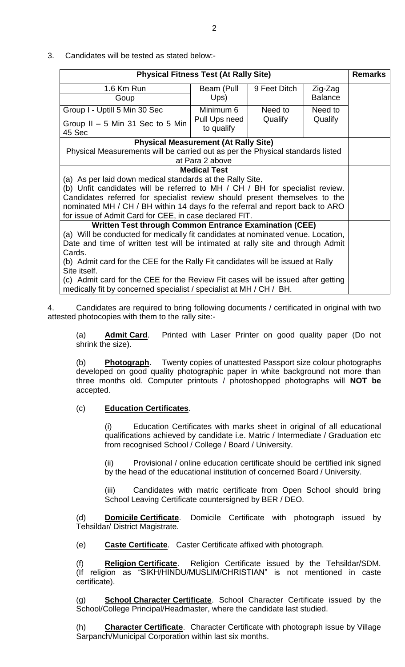3. Candidates will be tested as stated below:-

| <b>Physical Fitness Test (At Rally Site)</b>                                                                                                               |                                             |              |                | <b>Remarks</b> |
|------------------------------------------------------------------------------------------------------------------------------------------------------------|---------------------------------------------|--------------|----------------|----------------|
| 1.6 Km Run                                                                                                                                                 | Beam (Pull                                  | 9 Feet Ditch | Zig-Zag        |                |
| Goup                                                                                                                                                       | $Ups$ )                                     |              | <b>Balance</b> |                |
| Group I - Uptill 5 Min 30 Sec                                                                                                                              | Minimum 6                                   | Need to      | Need to        |                |
| Group $II - 5$ Min 31 Sec to 5 Min<br>45 Sec                                                                                                               | Pull Ups need<br>to qualify                 | Qualify      | Qualify        |                |
|                                                                                                                                                            | <b>Physical Measurement (At Rally Site)</b> |              |                |                |
| Physical Measurements will be carried out as per the Physical standards listed                                                                             |                                             |              |                |                |
|                                                                                                                                                            | at Para 2 above                             |              |                |                |
|                                                                                                                                                            | <b>Medical Test</b>                         |              |                |                |
| (a) As per laid down medical standards at the Rally Site.                                                                                                  |                                             |              |                |                |
| (b) Unfit candidates will be referred to MH / CH / BH for specialist review.                                                                               |                                             |              |                |                |
| Candidates referred for specialist review should present themselves to the<br>nominated MH / CH / BH within 14 days fo the referral and report back to ARO |                                             |              |                |                |
| for issue of Admit Card for CEE, in case declared FIT.                                                                                                     |                                             |              |                |                |
| <b>Written Test through Common Entrance Examination (CEE)</b>                                                                                              |                                             |              |                |                |
| (a) Will be conducted for medically fit candidates at nominated venue. Location,                                                                           |                                             |              |                |                |
| Date and time of written test will be intimated at rally site and through Admit                                                                            |                                             |              |                |                |
| Cards.                                                                                                                                                     |                                             |              |                |                |
| (b) Admit card for the CEE for the Rally Fit candidates will be issued at Rally                                                                            |                                             |              |                |                |
| Site itself.                                                                                                                                               |                                             |              |                |                |
| (c) Admit card for the CEE for the Review Fit cases will be issued after getting<br>medically fit by concerned specialist / specialist at MH / CH / BH.    |                                             |              |                |                |

4. Candidates are required to bring following documents / certificated in original with two attested photocopies with them to the rally site:-

(a) **Admit Card**. Printed with Laser Printer on good quality paper (Do not shrink the size).

(b) **Photograph**. Twenty copies of unattested Passport size colour photographs developed on good quality photographic paper in white background not more than three months old. Computer printouts / photoshopped photographs will **NOT be** accepted.

# (c) **Education Certificates**.

Education Certificates with marks sheet in original of all educational qualifications achieved by candidate i.e. Matric / Intermediate / Graduation etc from recognised School / College / Board / University.

(ii) Provisional / online education certificate should be certified ink signed by the head of the educational institution of concerned Board / University.

(iii) Candidates with matric certificate from Open School should bring School Leaving Certificate countersigned by BER / DEO.

(d) **Domicile Certificate**. Domicile Certificate with photograph issued by Tehsildar/ District Magistrate.

(e) **Caste Certificate**. Caster Certificate affixed with photograph.

(f) **Religion Certificate**. Religion Certificate issued by the Tehsildar/SDM. (If religion as "SIKH/HINDU/MUSLIM/CHRISTIAN" is not mentioned in caste certificate).

(g) **School Character Certificate**. School Character Certificate issued by the School/College Principal/Headmaster, where the candidate last studied.

(h) **Character Certificate**. Character Certificate with photograph issue by Village Sarpanch/Municipal Corporation within last six months.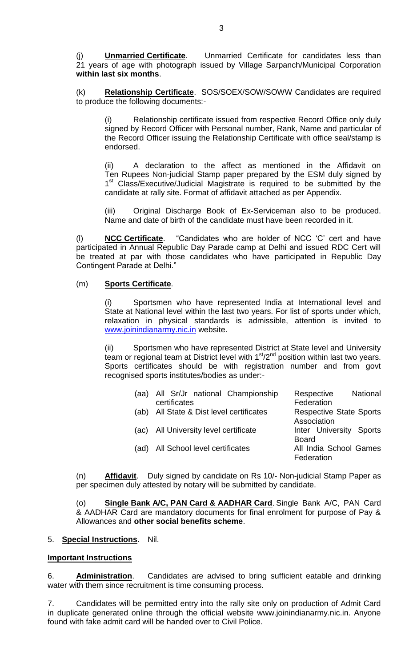(j) **Unmarried Certificate**. Unmarried Certificate for candidates less than 21 years of age with photograph issued by Village Sarpanch/Municipal Corporation **within last six months**.

(k) **Relationship Certificate**. SOS/SOEX/SOW/SOWW Candidates are required to produce the following documents:-

Relationship certificate issued from respective Record Office only duly signed by Record Officer with Personal number, Rank, Name and particular of the Record Officer issuing the Relationship Certificate with office seal/stamp is endorsed.

(ii) A declaration to the affect as mentioned in the Affidavit on Ten Rupees Non-judicial Stamp paper prepared by the ESM duly signed by 1<sup>st</sup> Class/Executive/Judicial Magistrate is required to be submitted by the candidate at rally site. Format of affidavit attached as per Appendix.

Original Discharge Book of Ex-Serviceman also to be produced. Name and date of birth of the candidate must have been recorded in it.

(l) **NCC Certificate**. "Candidates who are holder of NCC 'C' cert and have participated in Annual Republic Day Parade camp at Delhi and issued RDC Cert will be treated at par with those candidates who have participated in Republic Day Contingent Parade at Delhi."

# (m) **Sports Certificate**.

Sportsmen who have represented India at International level and State at National level within the last two years. For list of sports under which, relaxation in physical standards is admissible, attention is invited to [www.joinindianarmy.nic.in](http://www.joinindianarmy.nic.in/) website.

(ii) Sportsmen who have represented District at State level and University team or regional team at District level with  $1<sup>st</sup>/2<sup>nd</sup>$  position within last two years. Sports certificates should be with registration number and from govt recognised sports institutes/bodies as under:-

| (aa) | All Sr/Jr national Championship     | Respective<br><b>National</b>  |
|------|-------------------------------------|--------------------------------|
|      | certificates                        | Federation                     |
| (ab) | All State & Dist level certificates | <b>Respective State Sports</b> |
|      |                                     | Association                    |
| (ac) | All University level certificate    | Inter University Sports        |
|      |                                     | <b>Board</b>                   |
| (ad) | All School level certificates       | All India School Games         |
|      |                                     | Federation                     |

(n) **Affidavit**. Duly signed by candidate on Rs 10/- Non-judicial Stamp Paper as per specimen duly attested by notary will be submitted by candidate.

(o) **Single Bank A/C, PAN Card & AADHAR Card**. Single Bank A/C, PAN Card & AADHAR Card are mandatory documents for final enrolment for purpose of Pay & Allowances and **other social benefits scheme**.

#### 5. **Special Instructions**. Nil.

#### **Important Instructions**

6. **Administration**. Candidates are advised to bring sufficient eatable and drinking water with them since recruitment is time consuming process.

7. Candidates will be permitted entry into the rally site only on production of Admit Card in duplicate generated online through the official website www.joinindianarmy.nic.in. Anyone found with fake admit card will be handed over to Civil Police.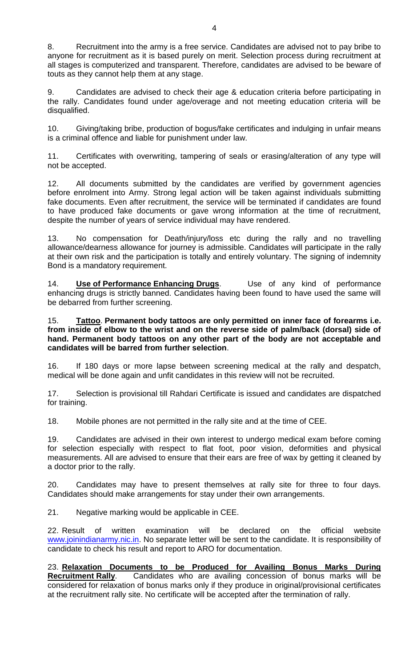8. Recruitment into the army is a free service. Candidates are advised not to pay bribe to anyone for recruitment as it is based purely on merit. Selection process during recruitment at all stages is computerized and transparent. Therefore, candidates are advised to be beware of touts as they cannot help them at any stage.

9. Candidates are advised to check their age & education criteria before participating in the rally. Candidates found under age/overage and not meeting education criteria will be disqualified.

10. Giving/taking bribe, production of bogus/fake certificates and indulging in unfair means is a criminal offence and liable for punishment under law.

11. Certificates with overwriting, tampering of seals or erasing/alteration of any type will not be accepted.

12. All documents submitted by the candidates are verified by government agencies before enrolment into Army. Strong legal action will be taken against individuals submitting fake documents. Even after recruitment, the service will be terminated if candidates are found to have produced fake documents or gave wrong information at the time of recruitment, despite the number of years of service individual may have rendered.

13. No compensation for Death/injury/loss etc during the rally and no travelling allowance/dearness allowance for journey is admissible. Candidates will participate in the rally at their own risk and the participation is totally and entirely voluntary. The signing of indemnity Bond is a mandatory requirement.

14. **Use of Performance Enhancing Drugs**. Use of any kind of performance enhancing drugs is strictly banned. Candidates having been found to have used the same will be debarred from further screening.

15. **Tattoo**. **Permanent body tattoos are only permitted on inner face of forearms i.e. from inside of elbow to the wrist and on the reverse side of palm/back (dorsal) side of hand. Permanent body tattoos on any other part of the body are not acceptable and candidates will be barred from further selection**.

16. If 180 days or more lapse between screening medical at the rally and despatch, medical will be done again and unfit candidates in this review will not be recruited.

17. Selection is provisional till Rahdari Certificate is issued and candidates are dispatched for training.

18. Mobile phones are not permitted in the rally site and at the time of CEE.

19. Candidates are advised in their own interest to undergo medical exam before coming for selection especially with respect to flat foot, poor vision, deformities and physical measurements. All are advised to ensure that their ears are free of wax by getting it cleaned by a doctor prior to the rally.

20. Candidates may have to present themselves at rally site for three to four days. Candidates should make arrangements for stay under their own arrangements.

21. Negative marking would be applicable in CEE.

22. Result of written examination will be declared on the official website [www.joinindianarmy.nic.in.](http://www.joinindianarmy.nic.in/) No separate letter will be sent to the candidate. It is responsibility of candidate to check his result and report to ARO for documentation.

23. **Relaxation Documents to be Produced for Availing Bonus Marks During Recruitment Rally**. Candidates who are availing concession of bonus marks will be considered for relaxation of bonus marks only if they produce in original/provisional certificates at the recruitment rally site. No certificate will be accepted after the termination of rally.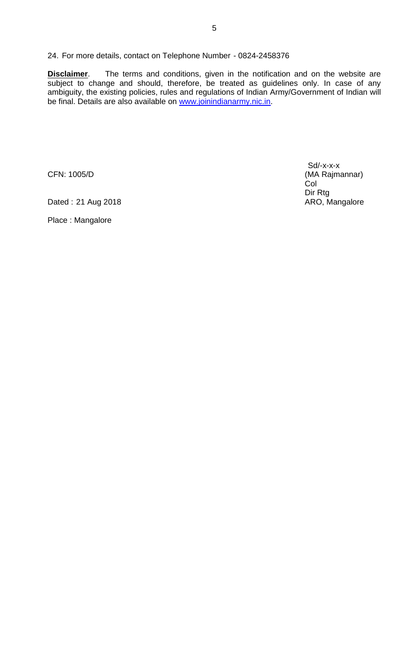24. For more details, contact on Telephone Number - 0824-2458376

**Disclaimer**. The terms and conditions, given in the notification and on the website are subject to change and should, therefore, be treated as guidelines only. In case of any ambiguity, the existing policies, rules and regulations of Indian Army/Government of Indian will be final. Details are also available on [www.joinindianarmy.nic.in.](http://www.joinindianarmy.nic.in/)

Sd/-x-x-x CFN: 1005/D (MA Rajmannar) Col Dir Rtg

Dated : 21 Aug 2018 **ARO, Mangalore** ARO, Mangalore

Place : Mangalore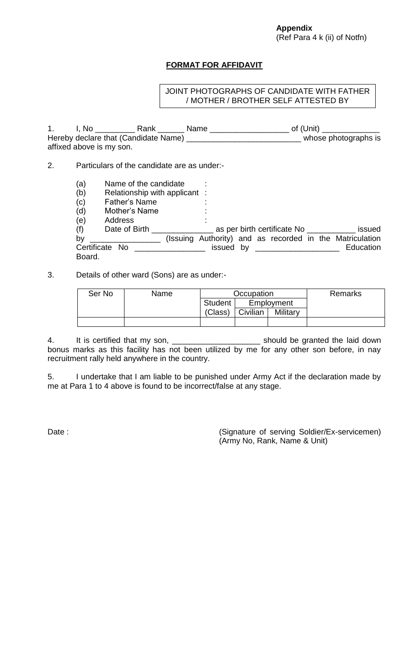# **FORMAT FOR AFFIDAVIT**

# JOINT PHOTOGRAPHS OF CANDIDATE WITH FATHER / MOTHER / BROTHER SELF ATTESTED BY

1. I, No \_\_\_\_\_\_\_\_\_\_\_\_\_ Rank \_\_\_\_\_\_\_\_ Name \_\_\_\_\_\_\_\_\_\_\_\_\_\_\_\_\_\_\_\_\_\_\_\_\_\_ of (Unit) \_\_\_\_\_ Hereby declare that (Candidate Name) \_\_\_\_\_\_\_\_\_\_\_\_\_\_\_\_\_\_\_\_\_\_\_\_\_\_\_\_\_\_\_\_\_\_whose photographs is affixed above is my son.

## 2. Particulars of the candidate are as under:-

- (a) Name of the candidate
- (b) Relationship with applicant :
- (c) Father's Name
- (d) Mother's Name
- (e) Address :

(f) Date of Birth \_\_\_\_\_\_\_\_\_\_\_\_\_\_ as per birth certificate No \_\_\_\_\_\_\_\_\_\_\_ issued  $\begin{array}{lll}\n\text{(e)} & \text{Equation} & \text{Equation} \\
\text{(f)} & \text{Date of Birth}\underline{\hspace{2cm}} & \text{(Issuing} & \text{Authority)}\n\end{array}$  as per birth certificate No  $\underline{\hspace{2cm}}$  issued by Certificate No \_\_\_\_\_\_\_\_\_\_\_\_\_\_\_\_\_\_\_\_\_\_\_\_ issued by \_\_\_\_\_\_\_\_\_\_\_\_\_\_\_\_\_\_\_\_\_\_\_\_\_\_\_\_\_\_ Education Board.

## 3. Details of other ward (Sons) are as under:-

| Ser No | Name | Occupation |          |            | <b>Remarks</b> |
|--------|------|------------|----------|------------|----------------|
|        |      | Student    |          | Employment |                |
|        |      | (Class)    | Civilian | Military   |                |
|        |      |            |          |            |                |

4. It is certified that my son, \_\_\_\_\_\_\_\_\_\_\_\_\_\_\_\_\_\_\_\_\_\_\_\_\_\_ should be granted the laid down bonus marks as this facility has not been utilized by me for any other son before, in nay recruitment rally held anywhere in the country.

5. I undertake that I am liable to be punished under Army Act if the declaration made by me at Para 1 to 4 above is found to be incorrect/false at any stage.

Date : Charles and Communication (Signature of serving Soldier/Ex-servicemen) (Army No, Rank, Name & Unit)